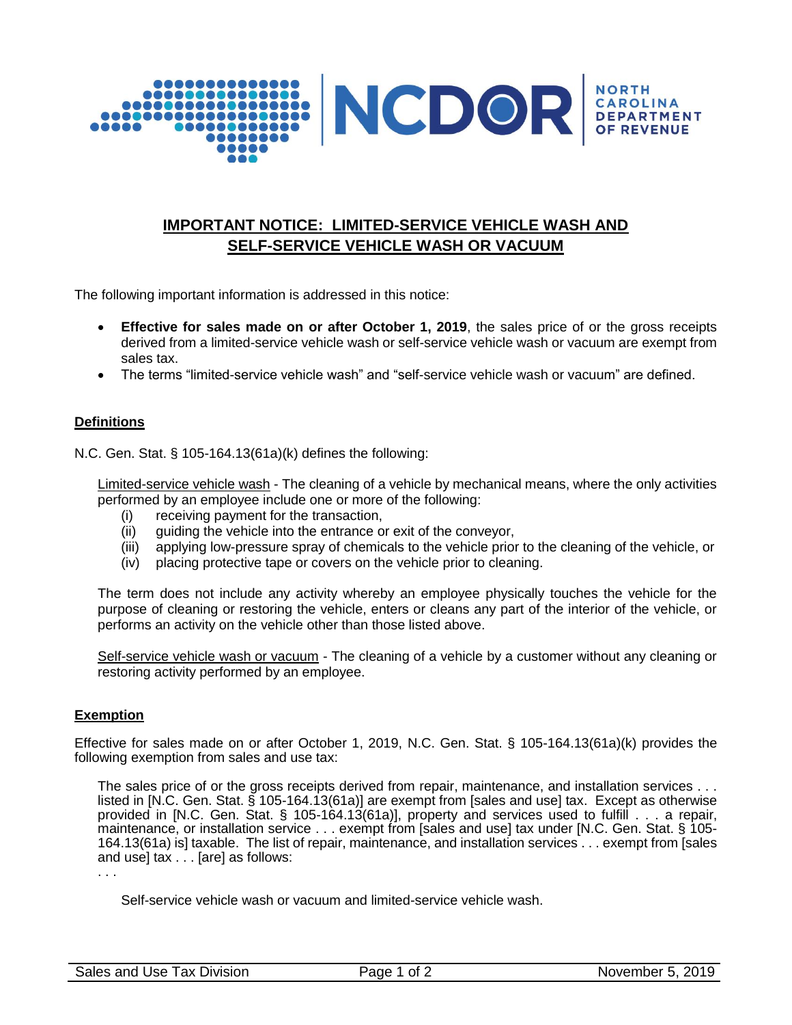

# **IMPORTANT NOTICE: LIMITED-SERVICE VEHICLE WASH AND SELF-SERVICE VEHICLE WASH OR VACUUM**

The following important information is addressed in this notice:

- **Effective for sales made on or after October 1, 2019**, the sales price of or the gross receipts derived from a limited-service vehicle wash or self-service vehicle wash or vacuum are exempt from sales tax.
- The terms "limited-service vehicle wash" and "self-service vehicle wash or vacuum" are defined.

### **Definitions**

N.C. Gen. Stat. § 105-164.13(61a)(k) defines the following:

Limited-service vehicle wash - The cleaning of a vehicle by mechanical means, where the only activities performed by an employee include one or more of the following:

- (i) receiving payment for the transaction,
- (ii) guiding the vehicle into the entrance or exit of the conveyor,
- (iii) applying low-pressure spray of chemicals to the vehicle prior to the cleaning of the vehicle, or
- (iv) placing protective tape or covers on the vehicle prior to cleaning.

The term does not include any activity whereby an employee physically touches the vehicle for the purpose of cleaning or restoring the vehicle, enters or cleans any part of the interior of the vehicle, or performs an activity on the vehicle other than those listed above.

Self-service vehicle wash or vacuum - The cleaning of a vehicle by a customer without any cleaning or restoring activity performed by an employee.

### **Exemption**

Effective for sales made on or after October 1, 2019, N.C. Gen. Stat. § 105-164.13(61a)(k) provides the following exemption from sales and use tax:

The sales price of or the gross receipts derived from repair, maintenance, and installation services . . . listed in [N.C. Gen. Stat. § 105-164.13(61a)] are exempt from [sales and use] tax. Except as otherwise provided in [N.C. Gen. Stat. § 105-164.13(61a)], property and services used to fulfill . . . a repair, maintenance, or installation service . . . exempt from [sales and use] tax under [N.C. Gen. Stat. § 105- 164.13(61a) is] taxable. The list of repair, maintenance, and installation services . . . exempt from [sales and use] tax . . . [are] as follows:

. . .

Self-service vehicle wash or vacuum and limited-service vehicle wash.